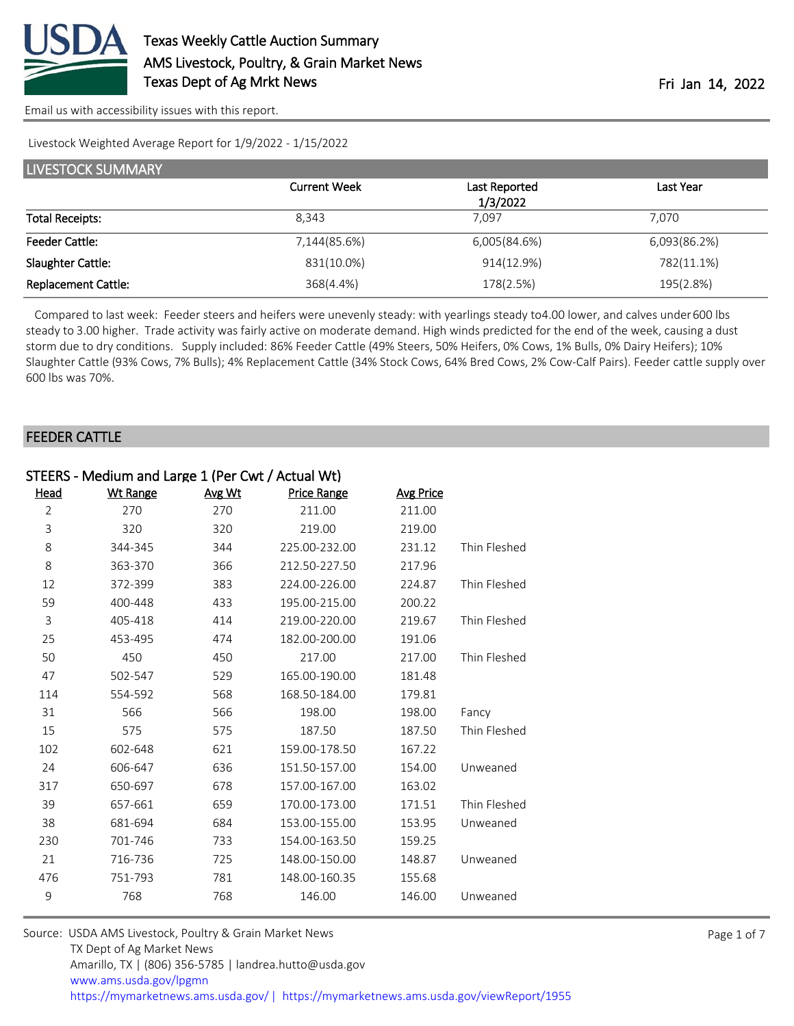

[Email us with accessibility issues with this report.](mailto:mars@ams.usda.gov?subject=508%20issue)

Livestock Weighted Average Report for 1/9/2022 - 1/15/2022

| LIVESTOCK SUMMARY          |                     |                           |              |  |  |  |
|----------------------------|---------------------|---------------------------|--------------|--|--|--|
|                            | <b>Current Week</b> | Last Reported<br>1/3/2022 | Last Year    |  |  |  |
| <b>Total Receipts:</b>     | 8.343               | 7.097                     | 7.070        |  |  |  |
| <b>Feeder Cattle:</b>      | 7,144(85.6%)        | 6,005(84.6%)              | 6,093(86.2%) |  |  |  |
| Slaughter Cattle:          | 831(10.0%)          | 914(12.9%)                | 782(11.1%)   |  |  |  |
| <b>Replacement Cattle:</b> | 368(4.4%)           | 178(2.5%)                 | 195(2.8%)    |  |  |  |

Compared to last week: Feeder steers and heifers were unevenly steady: with yearlings steady to 4.00 lower, and calves under 600 lbs steady to 3.00 higher. Trade activity was fairly active on moderate demand. High winds predicted for the end of the week, causing a dust storm due to dry conditions. Supply included: 86% Feeder Cattle (49% Steers, 50% Heifers, 0% Cows, 1% Bulls, 0% Dairy Heifers); 10% Slaughter Cattle (93% Cows, 7% Bulls); 4% Replacement Cattle (34% Stock Cows, 64% Bred Cows, 2% Cow-Calf Pairs). Feeder cattle supply over 600 lbs was 70%.

#### FEEDER CATTLE

| STEERS - Medium and Large 1 (Per Cwt / Actual Wt) |          |        |                    |                  |              |  |  |
|---------------------------------------------------|----------|--------|--------------------|------------------|--------------|--|--|
| Head                                              | Wt Range | Avg Wt | <b>Price Range</b> | <b>Avg Price</b> |              |  |  |
| $\overline{2}$                                    | 270      | 270    | 211.00             | 211.00           |              |  |  |
| 3                                                 | 320      | 320    | 219.00             | 219.00           |              |  |  |
| 8                                                 | 344-345  | 344    | 225.00-232.00      | 231.12           | Thin Fleshed |  |  |
| 8                                                 | 363-370  | 366    | 212.50-227.50      | 217.96           |              |  |  |
| 12                                                | 372-399  | 383    | 224.00-226.00      | 224.87           | Thin Fleshed |  |  |
| 59                                                | 400-448  | 433    | 195.00-215.00      | 200.22           |              |  |  |
| $\overline{3}$                                    | 405-418  | 414    | 219.00-220.00      | 219.67           | Thin Fleshed |  |  |
| 25                                                | 453-495  | 474    | 182.00-200.00      | 191.06           |              |  |  |
| 50                                                | 450      | 450    | 217.00             | 217.00           | Thin Fleshed |  |  |
| 47                                                | 502-547  | 529    | 165.00-190.00      | 181.48           |              |  |  |
| 114                                               | 554-592  | 568    | 168.50-184.00      | 179.81           |              |  |  |
| 31                                                | 566      | 566    | 198.00             | 198.00           | Fancy        |  |  |
| 15                                                | 575      | 575    | 187.50             | 187.50           | Thin Fleshed |  |  |
| 102                                               | 602-648  | 621    | 159.00-178.50      | 167.22           |              |  |  |
| 24                                                | 606-647  | 636    | 151.50-157.00      | 154.00           | Unweaned     |  |  |
| 317                                               | 650-697  | 678    | 157.00-167.00      | 163.02           |              |  |  |
| 39                                                | 657-661  | 659    | 170.00-173.00      | 171.51           | Thin Fleshed |  |  |
| 38                                                | 681-694  | 684    | 153.00-155.00      | 153.95           | Unweaned     |  |  |
| 230                                               | 701-746  | 733    | 154.00-163.50      | 159.25           |              |  |  |
| 21                                                | 716-736  | 725    | 148.00-150.00      | 148.87           | Unweaned     |  |  |
| 476                                               | 751-793  | 781    | 148.00-160.35      | 155.68           |              |  |  |
| 9                                                 | 768      | 768    | 146.00             | 146.00           | Unweaned     |  |  |
|                                                   |          |        |                    |                  |              |  |  |

| Source: USDA AMS Livestock, Poultry & Grain Market News                                |
|----------------------------------------------------------------------------------------|
| TX Dept of Ag Market News                                                              |
| Amarillo, TX   (806) 356-5785   landrea.hutto@usda.gov                                 |
| www.ams.usda.gov/lpgmn                                                                 |
| https://mymarketnews.ams.usda.gov/   https://mymarketnews.ams.usda.gov/viewReport/1955 |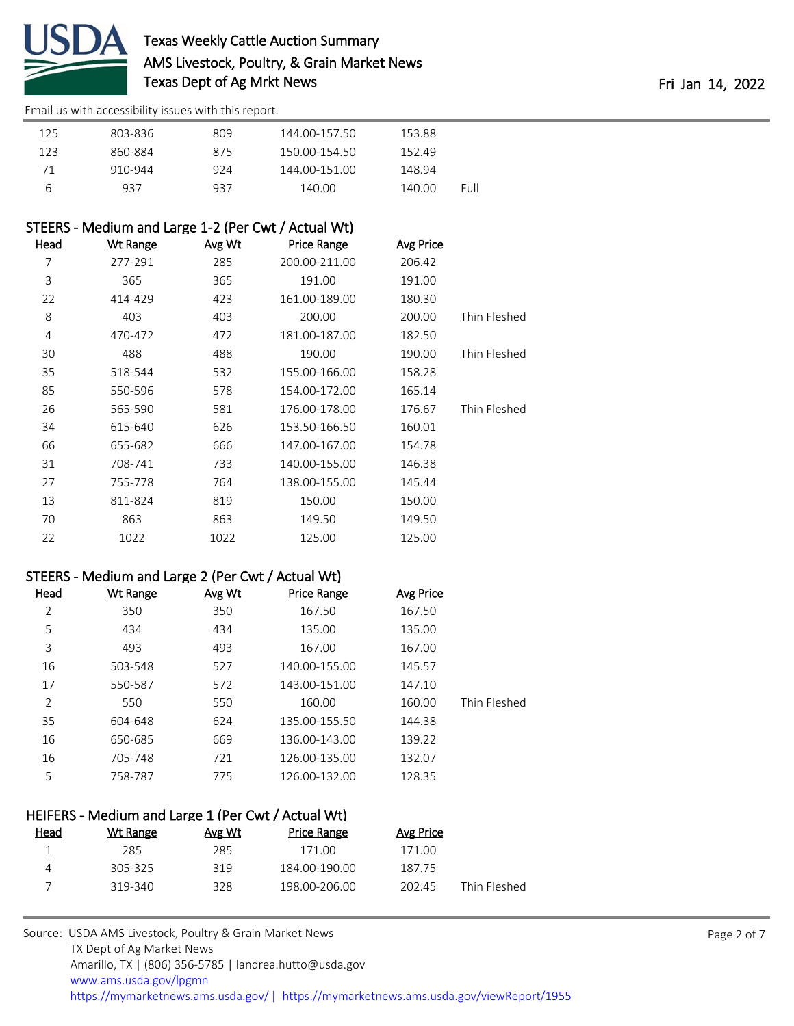

# Texas Weekly Cattle Auction Summary AMS Livestock, Poultry, & Grain Market News Texas Dept of Ag Mrkt News Texas Dept of Ag Mrkt News

[Email us with accessibility issues with this report.](mailto:mars@ams.usda.gov?subject=508%20issue)

| 125 | 803-836 | 809 | 144.00-157.50 | 153.88 |      |
|-----|---------|-----|---------------|--------|------|
| 123 | 860-884 | 875 | 150.00-154.50 | 152.49 |      |
| 71  | 910-944 | 924 | 144.00-151.00 | 148.94 |      |
| b   | 937     | 937 | 140.00        | 140.00 | Full |

#### STEERS - Medium and Large 1-2 (Per Cwt / Actual Wt)

| Head | <u>Wt Range</u> | <u>Avg Wt</u> | <b>Price Range</b> | <b>Avg Price</b> |              |
|------|-----------------|---------------|--------------------|------------------|--------------|
| 7    | 277-291         | 285           | 200.00-211.00      | 206.42           |              |
| 3    | 365             | 365           | 191.00             | 191.00           |              |
| 22   | 414-429         | 423           | 161.00-189.00      | 180.30           |              |
| 8    | 403             | 403           | 200.00             | 200.00           | Thin Fleshed |
| 4    | 470-472         | 472           | 181.00-187.00      | 182.50           |              |
| 30   | 488             | 488           | 190.00             | 190.00           | Thin Fleshed |
| 35   | 518-544         | 532           | 155.00-166.00      | 158.28           |              |
| 85   | 550-596         | 578           | 154.00-172.00      | 165.14           |              |
| 26   | 565-590         | 581           | 176.00-178.00      | 176.67           | Thin Fleshed |
| 34   | 615-640         | 626           | 153.50-166.50      | 160.01           |              |
| 66   | 655-682         | 666           | 147.00-167.00      | 154.78           |              |
| 31   | 708-741         | 733           | 140.00-155.00      | 146.38           |              |
| 27   | 755-778         | 764           | 138.00-155.00      | 145.44           |              |
| 13   | 811-824         | 819           | 150.00             | 150.00           |              |
| 70   | 863             | 863           | 149.50             | 149.50           |              |
| 22   | 1022            | 1022          | 125.00             | 125.00           |              |

#### STEERS - Medium and Large 2 (Per Cwt / Actual Wt)

| Head | <b>Wt Range</b> | Avg Wt | <b>Price Range</b> | <b>Avg Price</b> |              |
|------|-----------------|--------|--------------------|------------------|--------------|
| 2    | 350             | 350    | 167.50             | 167.50           |              |
| 5    | 434             | 434    | 135.00             | 135.00           |              |
| 3    | 493             | 493    | 167.00             | 167.00           |              |
| 16   | 503-548         | 527    | 140.00-155.00      | 145.57           |              |
| 17   | 550-587         | 572    | 143.00-151.00      | 147.10           |              |
| 2    | 550             | 550    | 160.00             | 160.00           | Thin Fleshed |
| 35   | 604-648         | 624    | 135.00-155.50      | 144.38           |              |
| 16   | 650-685         | 669    | 136.00-143.00      | 139.22           |              |
| 16   | 705-748         | 721    | 126.00-135.00      | 132.07           |              |
| 5    | 758-787         | 775    | 126.00-132.00      | 128.35           |              |

| HEIFERS - Medium and Large 1 (Per Cwt / Actual Wt) |          |        |               |           |              |  |  |
|----------------------------------------------------|----------|--------|---------------|-----------|--------------|--|--|
| <u>Head</u>                                        | Wt Range | Avg Wt | Price Range   | Avg Price |              |  |  |
|                                                    | 285      | 285    | 171.00        | 171.00    |              |  |  |
|                                                    | 305-325  | 319    | 184.00-190.00 | 187.75    |              |  |  |
|                                                    | 319-340  | 328    | 198.00-206.00 | 202.45    | Thin Fleshed |  |  |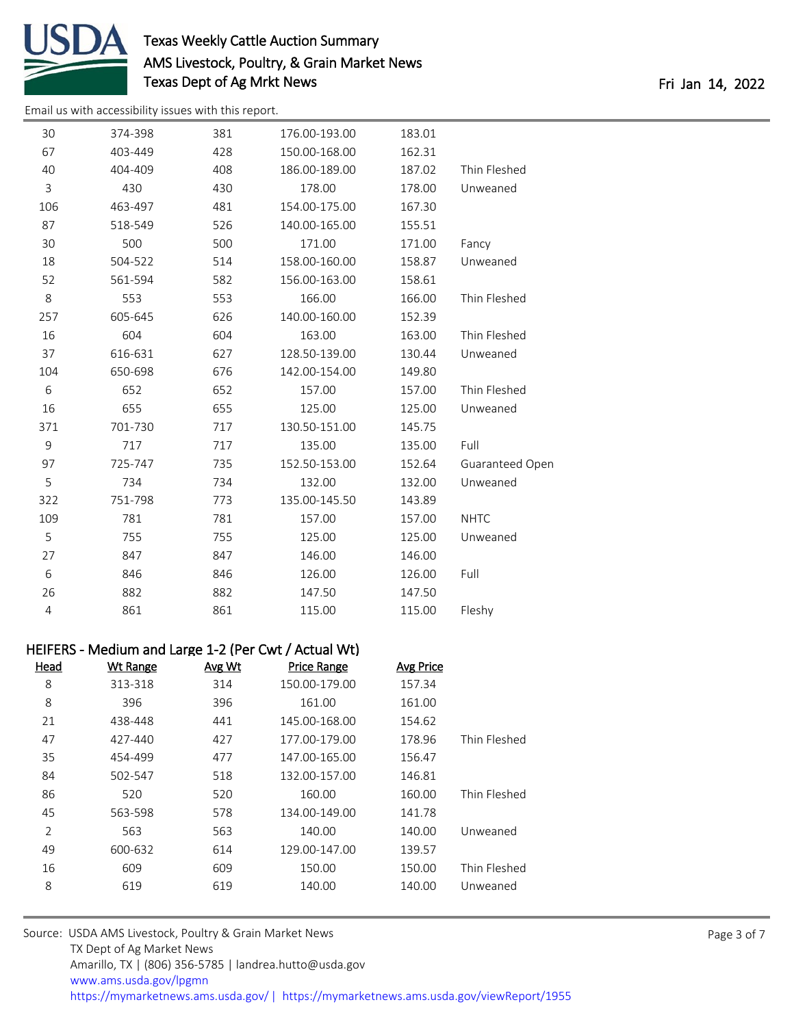

# Texas Weekly Cattle Auction Summary AMS Livestock, Poultry, & Grain Market News Texas Dept of Ag Mrkt News Texas Dept of Ag Mrkt News

[Email us with accessibility issues with this report.](mailto:mars@ams.usda.gov?subject=508%20issue)

| 30  | 374-398 | 381 | 176.00-193.00 | 183.01 |                 |
|-----|---------|-----|---------------|--------|-----------------|
| 67  | 403-449 | 428 | 150.00-168.00 | 162.31 |                 |
| 40  | 404-409 | 408 | 186.00-189.00 | 187.02 | Thin Fleshed    |
| 3   | 430     | 430 | 178.00        | 178.00 | Unweaned        |
| 106 | 463-497 | 481 | 154.00-175.00 | 167.30 |                 |
| 87  | 518-549 | 526 | 140.00-165.00 | 155.51 |                 |
| 30  | 500     | 500 | 171.00        | 171.00 | Fancy           |
| 18  | 504-522 | 514 | 158.00-160.00 | 158.87 | Unweaned        |
| 52  | 561-594 | 582 | 156.00-163.00 | 158.61 |                 |
| 8   | 553     | 553 | 166.00        | 166.00 | Thin Fleshed    |
| 257 | 605-645 | 626 | 140.00-160.00 | 152.39 |                 |
| 16  | 604     | 604 | 163.00        | 163.00 | Thin Fleshed    |
| 37  | 616-631 | 627 | 128.50-139.00 | 130.44 | Unweaned        |
| 104 | 650-698 | 676 | 142.00-154.00 | 149.80 |                 |
| 6   | 652     | 652 | 157.00        | 157.00 | Thin Fleshed    |
| 16  | 655     | 655 | 125.00        | 125.00 | Unweaned        |
| 371 | 701-730 | 717 | 130.50-151.00 | 145.75 |                 |
| 9   | 717     | 717 | 135.00        | 135.00 | Full            |
| 97  | 725-747 | 735 | 152.50-153.00 | 152.64 | Guaranteed Open |
| 5   | 734     | 734 | 132.00        | 132.00 | Unweaned        |
| 322 | 751-798 | 773 | 135.00-145.50 | 143.89 |                 |
| 109 | 781     | 781 | 157.00        | 157.00 | <b>NHTC</b>     |
| 5   | 755     | 755 | 125.00        | 125.00 | Unweaned        |
| 27  | 847     | 847 | 146.00        | 146.00 |                 |
| 6   | 846     | 846 | 126.00        | 126.00 | Full            |
| 26  | 882     | 882 | 147.50        | 147.50 |                 |
| 4   | 861     | 861 | 115.00        | 115.00 | Fleshy          |

|              | HEIFERS - Medium and Large 1-2 (Per Cwt / Actual Wt) |                    |        |                 |                |  |  |  |
|--------------|------------------------------------------------------|--------------------|--------|-----------------|----------------|--|--|--|
|              | Avg Price                                            | <b>Price Range</b> | Avg Wt | <b>Wt Range</b> | <b>Head</b>    |  |  |  |
|              | 157.34                                               | 150.00-179.00      | 314    | 313-318         | 8              |  |  |  |
|              | 161.00                                               | 161.00             | 396    | 396             | 8              |  |  |  |
|              | 154.62                                               | 145.00-168.00      | 441    | 438-448         | 21             |  |  |  |
| Thin Fleshed | 178.96                                               | 177.00-179.00      | 427    | 427-440         | 47             |  |  |  |
|              | 156.47                                               | 147.00-165.00      | 477    | 454-499         | 35             |  |  |  |
|              | 146.81                                               | 132.00-157.00      | 518    | 502-547         | 84             |  |  |  |
| Thin Fleshed | 160.00                                               | 160.00             | 520    | 520             | 86             |  |  |  |
|              | 141.78                                               | 134.00-149.00      | 578    | 563-598         | 45             |  |  |  |
| Unweaned     | 140.00                                               | 140.00             | 563    | 563             | $\overline{2}$ |  |  |  |
|              | 139.57                                               | 129.00-147.00      | 614    | 600-632         | 49             |  |  |  |
| Thin Fleshed | 150.00                                               | 150.00             | 609    | 609             | 16             |  |  |  |
| Unweaned     | 140.00                                               | 140.00             | 619    | 619             | 8              |  |  |  |
|              |                                                      |                    |        |                 |                |  |  |  |

| Source: USDA AMS Livestock, Poultry & Grain Market News                                |
|----------------------------------------------------------------------------------------|
| TX Dept of Ag Market News                                                              |
| Amarillo, TX   (806) 356-5785   landrea.hutto@usda.gov                                 |
| www.ams.usda.gov/lpgmn                                                                 |
| https://mymarketnews.ams.usda.gov/   https://mymarketnews.ams.usda.gov/viewReport/1955 |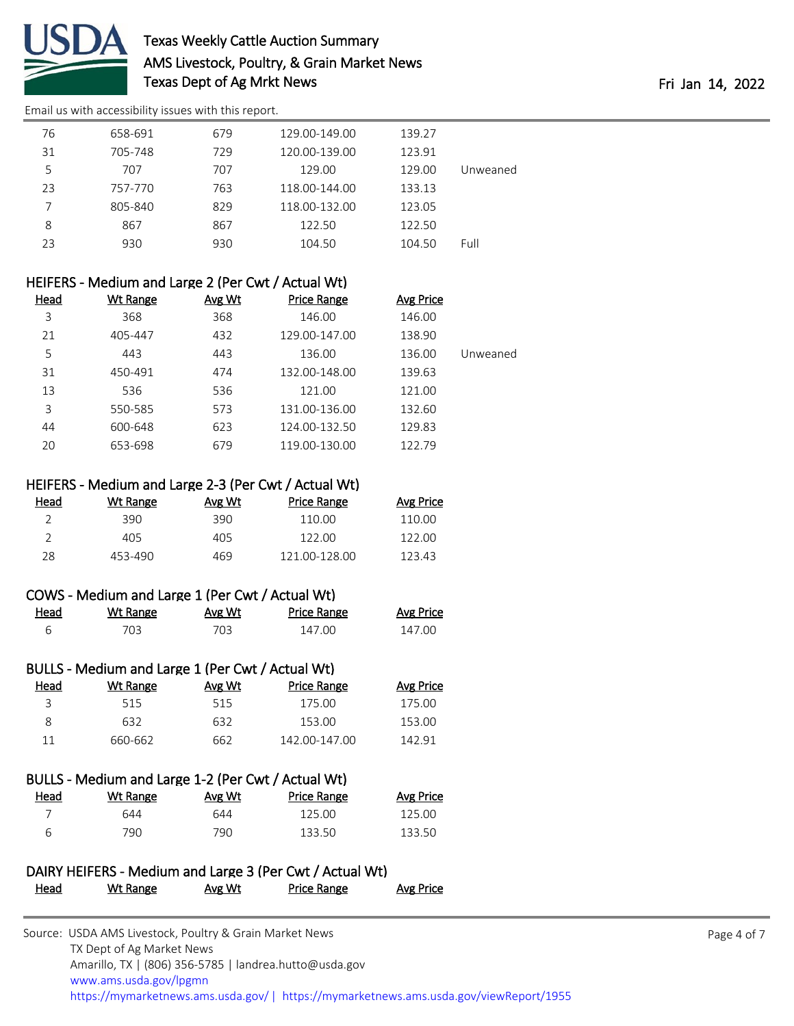

# Texas Weekly Cattle Auction Summary AMS Livestock, Poultry, & Grain Market News Texas Dept of Ag Mrkt News **Fri Jan 14, 2022**

[Email us with accessibility issues with this report.](mailto:mars@ams.usda.gov?subject=508%20issue)

|          | 139.27 | 129.00-149.00 | 679 | 658-691 | 76 |
|----------|--------|---------------|-----|---------|----|
|          | 123.91 | 120.00-139.00 | 729 | 705-748 | 31 |
| Unweaned | 129.00 | 129.00        | 707 | 707     | 5  |
|          | 133.13 | 118.00-144.00 | 763 | 757-770 | 23 |
|          | 123.05 | 118.00-132.00 | 829 | 805-840 |    |
|          | 122.50 | 122.50        | 867 | 867     | 8  |
| Full     | 104.50 | 104.50        | 930 | 930     | 23 |
|          |        |               |     |         |    |

| HEIFERS - Medium and Large 2 (Per Cwt / Actual Wt) |        |                    |                  |          |  |  |
|----------------------------------------------------|--------|--------------------|------------------|----------|--|--|
| Wt Range                                           | Avg Wt | <b>Price Range</b> | <b>Avg Price</b> |          |  |  |
| 368                                                | 368    | 146.00             | 146.00           |          |  |  |
| 405-447                                            | 432    | 129.00-147.00      | 138.90           |          |  |  |
| 443                                                | 443    | 136.00             | 136.00           | Unweaned |  |  |
| 450-491                                            | 474    | 132.00-148.00      | 139.63           |          |  |  |
| 536                                                | 536    | 121.00             | 121.00           |          |  |  |
| 550-585                                            | 573    | 131.00-136.00      | 132.60           |          |  |  |
| 600-648                                            | 623    | 124.00-132.50      | 129.83           |          |  |  |
| 653-698                                            | 679    | 119.00-130.00      | 122.79           |          |  |  |
|                                                    |        |                    |                  |          |  |  |

#### HEIFERS - Medium and Large 2-3 (Per Cwt / Actual Wt)

| Head | Wt Range | Avg Wt | <b>Price Range</b> | Avg Price |
|------|----------|--------|--------------------|-----------|
|      | 390.     | 390.   | 110.00             | 110.00    |
|      | 405      | 405    | 122.00             | 122.00    |
| 28   | 453-490  | 469    | 121 00-128 00      | 123.43    |

|      | COWS - Medium and Large 1 (Per Cwt / Actual Wt) |        |             |                  |
|------|-------------------------------------------------|--------|-------------|------------------|
| Head | Wt Range                                        | Avg Wt | Price Range | <b>Avg Price</b> |
|      | 703.                                            | 703.   | 147 OO      | 147 OO           |

| BULLS - Medium and Large 1 (Per Cwt / Actual Wt) |          |        |                    |                  |  |  |
|--------------------------------------------------|----------|--------|--------------------|------------------|--|--|
| Head                                             | Wt Range | Avg Wt | <b>Price Range</b> | <b>Avg Price</b> |  |  |
| ₹                                                | 515      | 515    | 175.00             | 175.00           |  |  |
| 8                                                | 632      | 632    | 153.00             | 153.00           |  |  |
| 11                                               | 660-662  | 662    | 142.00-147.00      | 142.91           |  |  |

|      | BULLS - Medium and Large 1-2 (Per Cwt / Actual Wt) |        |             |           |
|------|----------------------------------------------------|--------|-------------|-----------|
| Head | Wt Range                                           | Avg Wt | Price Range | Avg Price |
|      | 644                                                | 644    | 125.00      | 125.00    |
| 6    | 790.                                               | 790.   | 133.50      | 133.50    |

### DAIRY HEIFERS - Medium and Large 3 (Per Cwt / Actual Wt) Head Wt Range Avg Wt Price Range Avg Price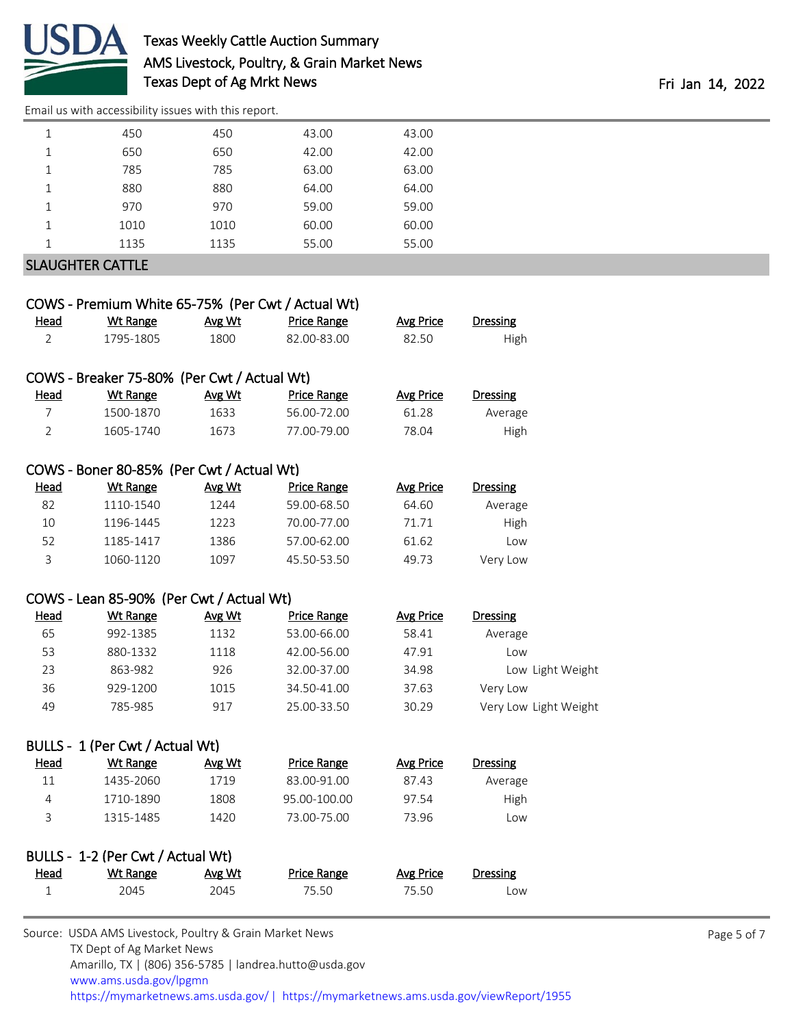

### Texas Weekly Cattle Auction Summary AMS Livestock, Poultry, & Grain Market News Texas Dept of Ag Mrkt News Texas Dept of Ag Mrkt News

[Email us with accessibility issues with this report.](mailto:mars@ams.usda.gov?subject=508%20issue)

|   | 450                     | 450  | 43.00 | 43.00 |  |  |  |
|---|-------------------------|------|-------|-------|--|--|--|
| ᅩ | 650                     | 650  | 42.00 | 42.00 |  |  |  |
| 1 | 785                     | 785  | 63.00 | 63.00 |  |  |  |
|   | 880                     | 880  | 64.00 | 64.00 |  |  |  |
| ᅩ | 970                     | 970  | 59.00 | 59.00 |  |  |  |
|   | 1010                    | 1010 | 60.00 | 60.00 |  |  |  |
| 1 | 1135                    | 1135 | 55.00 | 55.00 |  |  |  |
|   | <b>SLAUGHTER CATTLE</b> |      |       |       |  |  |  |

|                | COWS - Premium White 65-75% (Per Cwt / Actual Wt)   |        |                    |                  |                       |
|----------------|-----------------------------------------------------|--------|--------------------|------------------|-----------------------|
| <b>Head</b>    | <b>Wt Range</b>                                     | Avg Wt | <b>Price Range</b> | <b>Avg Price</b> | <b>Dressing</b>       |
| $\overline{2}$ | 1795-1805                                           | 1800   | 82.00-83.00        | 82.50            | High                  |
|                |                                                     |        |                    |                  |                       |
|                | COWS - Breaker 75-80% (Per Cwt / Actual Wt)         |        |                    |                  |                       |
| <u>Head</u>    | <b>Wt Range</b>                                     | Avg Wt | <b>Price Range</b> | <b>Avg Price</b> | <b>Dressing</b>       |
| $\overline{7}$ | 1500-1870                                           | 1633   | 56.00-72.00        | 61.28            | Average               |
| $\overline{2}$ | 1605-1740                                           | 1673   | 77.00-79.00        | 78.04            | High                  |
|                | COWS - Boner 80-85% (Per Cwt / Actual Wt)           |        |                    |                  |                       |
| <b>Head</b>    | <b>Wt Range</b>                                     | Avg Wt |                    |                  | <b>Dressing</b>       |
|                |                                                     |        | <b>Price Range</b> | <b>Avg Price</b> |                       |
| 82             | 1110-1540                                           | 1244   | 59.00-68.50        | 64.60            | Average               |
| 10             | 1196-1445                                           | 1223   | 70.00-77.00        | 71.71            | High                  |
| 52             | 1185-1417                                           | 1386   | 57.00-62.00        | 61.62            | Low                   |
| 3              | 1060-1120                                           | 1097   | 45.50-53.50        | 49.73            | Very Low              |
|                | COWS - Lean 85-90% (Per Cwt / Actual Wt)            |        |                    |                  |                       |
| Head           | <b>Wt Range</b>                                     | Avg Wt | <b>Price Range</b> | <b>Avg Price</b> | Dressing              |
| 65             | 992-1385                                            | 1132   | 53.00-66.00        | 58.41            | Average               |
| 53             | 880-1332                                            | 1118   | 42.00-56.00        | 47.91            | Low                   |
| 23             | 863-982                                             | 926    | 32.00-37.00        | 34.98            | Low Light Weight      |
| 36             | 929-1200                                            | 1015   | 34.50-41.00        | 37.63            | Very Low              |
| 49             | 785-985                                             | 917    | 25.00-33.50        | 30.29            | Very Low Light Weight |
|                | BULLS - 1 (Per Cwt / Actual Wt)                     |        |                    |                  |                       |
| المحملا        | $\mathcal{M}$ + Dongs $\mathcal{M}$ + $\mathcal{M}$ |        | Drico Dongo        | Ava Drico        | Droccing              |

| <u>Head</u> | Wt Range  | Avg Wt | Price Range  | Avg Price | Dressing |  |
|-------------|-----------|--------|--------------|-----------|----------|--|
| 11          | 1435-2060 | 1719   | 83.00-91.00  | 87.43     | Average  |  |
|             | 1710-1890 | 1808   | 95.00-100.00 | 97.54     | High     |  |
|             | 1315-1485 | 1420   | 73.00-75.00  | 73.96     | Low      |  |

| BULLS - 1-2 (Per Cwt / Actual Wt) |          |        |             |           |          |  |
|-----------------------------------|----------|--------|-------------|-----------|----------|--|
| <u>Head</u>                       | Wt Range | Avg Wt | Price Range | Avg Price | Dressing |  |
|                                   | 2045     | 2045   | 75.50       | 75.50     | Low      |  |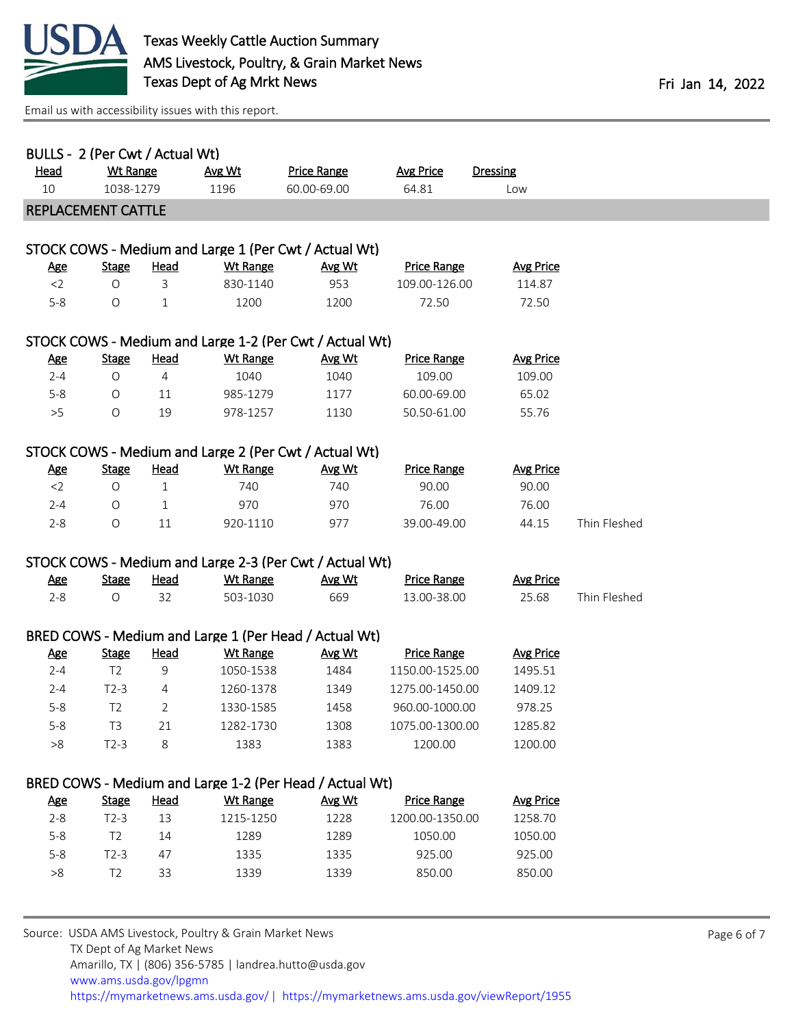

[Email us with accessibility issues with this report.](mailto:mars@ams.usda.gov?subject=508%20issue)

| BULLS - 2 (Per Cwt / Actual Wt)<br><u>Head</u><br>10 | <b>Wt Range</b><br>1038-1279       |                   | Avg Wt<br>1196                      | <b>Price Range</b><br>60.00-69.00                                              | <b>Avg Price</b><br>64.81                    | <b>Dressing</b><br>Low              |              |  |
|------------------------------------------------------|------------------------------------|-------------------|-------------------------------------|--------------------------------------------------------------------------------|----------------------------------------------|-------------------------------------|--------------|--|
| <b>REPLACEMENT CATTLE</b>                            |                                    |                   |                                     |                                                                                |                                              |                                     |              |  |
| <b>Age</b><br>$<$ 2<br>$5 - 8$                       | <b>Stage</b><br>$\circ$<br>$\circ$ | Head<br>3<br>1    | <b>Wt Range</b><br>830-1140<br>1200 | STOCK COWS - Medium and Large 1 (Per Cwt / Actual Wt)<br>Avg Wt<br>953<br>1200 | <b>Price Range</b><br>109.00-126.00<br>72.50 | <b>Avg Price</b><br>114.87<br>72.50 |              |  |
|                                                      |                                    |                   |                                     |                                                                                |                                              |                                     |              |  |
|                                                      |                                    |                   |                                     | STOCK COWS - Medium and Large 1-2 (Per Cwt / Actual Wt)                        |                                              |                                     |              |  |
| <b>Age</b>                                           | <b>Stage</b>                       | <u>Head</u>       | <b>Wt Range</b>                     | Avg Wt                                                                         | <b>Price Range</b>                           | <b>Avg Price</b>                    |              |  |
| $2 - 4$                                              | $\circ$                            | $\overline{4}$    | 1040                                | 1040                                                                           | 109.00                                       | 109.00                              |              |  |
| $5 - 8$                                              | $\circ$                            | 11                | 985-1279                            | 1177                                                                           | 60.00-69.00                                  | 65.02                               |              |  |
| >5                                                   | $\circ$                            | 19                | 978-1257                            | 1130                                                                           | 50.50-61.00                                  | 55.76                               |              |  |
|                                                      |                                    |                   |                                     | STOCK COWS - Medium and Large 2 (Per Cwt / Actual Wt)                          |                                              |                                     |              |  |
| <b>Age</b>                                           | <b>Stage</b>                       | <b>Head</b>       | <b>Wt Range</b>                     | Avg Wt                                                                         | <b>Price Range</b>                           | <b>Avg Price</b>                    |              |  |
| $<$ 2                                                | $\bigcirc$                         | $\mathbf{1}$      | 740                                 | 740                                                                            | 90.00                                        | 90.00                               |              |  |
| $2 - 4$                                              | O                                  | 1                 | 970                                 | 970                                                                            | 76.00                                        | 76.00                               |              |  |
| $2 - 8$                                              | $\bigcirc$                         | 11                | 920-1110                            | 977                                                                            | 39.00-49.00                                  | 44.15                               | Thin Fleshed |  |
|                                                      |                                    |                   |                                     |                                                                                |                                              |                                     |              |  |
|                                                      |                                    |                   |                                     | STOCK COWS - Medium and Large 2-3 (Per Cwt / Actual Wt)                        |                                              |                                     |              |  |
| <u>Age</u>                                           | <b>Stage</b>                       | <b>Head</b>       | <b>Wt Range</b>                     | Avg Wt                                                                         | <b>Price Range</b>                           | <b>Avg Price</b>                    |              |  |
| $2 - 8$                                              | $\circ$                            | 32                | 503-1030                            | 669                                                                            | 13.00-38.00                                  | 25.68                               | Thin Fleshed |  |
|                                                      |                                    |                   |                                     |                                                                                |                                              |                                     |              |  |
|                                                      |                                    |                   |                                     | BRED COWS - Medium and Large 1 (Per Head / Actual Wt)                          |                                              |                                     |              |  |
| <b>Age</b>                                           | <b>Stage</b>                       | <b>Head</b>       | Wt Range                            | Avg Wt                                                                         | <b>Price Range</b>                           | <b>Avg Price</b>                    |              |  |
| $2 - 4$                                              | T <sub>2</sub>                     | 9                 | 1050-1538                           | 1484                                                                           | 1150.00-1525.00                              | 1495.51                             |              |  |
| $2 - 4$                                              | $T2-3$                             | 4                 | 1260-1378                           | 1349                                                                           | 1275.00-1450.00                              | 1409.12                             |              |  |
| $5 - 8$                                              | T <sub>2</sub>                     | 2                 | 1330-1585                           | 1458                                                                           | 960.00-1000.00                               | 978.25                              |              |  |
| $5 - 8$                                              | T <sub>3</sub>                     | 21                | 1282-1730                           | 1308                                                                           | 1075.00-1300.00                              | 1285.82                             |              |  |
| $>\!8$                                               | $T2-3$                             | 8                 | 1383                                | 1383                                                                           | 1200.00                                      | 1200.00                             |              |  |
|                                                      |                                    |                   |                                     |                                                                                |                                              |                                     |              |  |
|                                                      |                                    |                   |                                     | BRED COWS - Medium and Large 1-2 (Per Head / Actual Wt)                        |                                              |                                     |              |  |
| <b>Age</b><br>$2 - 8$                                | <b>Stage</b><br>$T2-3$             | <b>Head</b><br>13 | <b>Wt Range</b><br>1215-1250        | Avg Wt<br>1228                                                                 | <b>Price Range</b><br>1200.00-1350.00        | <b>Avg Price</b><br>1258.70         |              |  |
| $5 - 8$                                              | T <sub>2</sub>                     | 14                | 1289                                | 1289                                                                           | 1050.00                                      | 1050.00                             |              |  |
| $5 - 8$                                              | $T2-3$                             | 47                | 1335                                | 1335                                                                           | 925.00                                       | 925.00                              |              |  |
| $>\!8$                                               | T <sub>2</sub>                     | 33                | 1339                                | 1339                                                                           | 850.00                                       | 850.00                              |              |  |
|                                                      |                                    |                   |                                     |                                                                                |                                              |                                     |              |  |
|                                                      |                                    |                   |                                     |                                                                                |                                              |                                     |              |  |

| Source: USDA AMS Livestock, Poultry & Grain Market News                                |
|----------------------------------------------------------------------------------------|
| TX Dept of Ag Market News                                                              |
| Amarillo, TX   (806) 356-5785   landrea.hutto@usda.gov                                 |
| www.ams.usda.gov/lpgmn                                                                 |
| https://mymarketnews.ams.usda.gov/   https://mymarketnews.ams.usda.gov/viewReport/1955 |